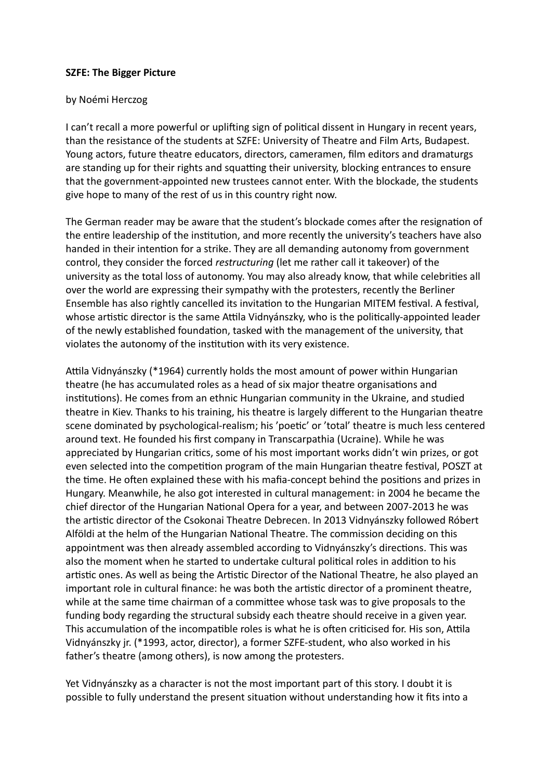## **SZFE: The Bigger Picture**

## by Noémi Herczog

I can't recall a more powerful or uplifing sign of politcal dissent in Hungary in recent years, than the resistance of the students at SZFE: University of Theatre and Film Arts, Budapest. Young actors, future theatre educators, directors, cameramen, flm editors and dramaturgs are standing up for their rights and squatting their university, blocking entrances to ensure that the government-appointed new trustees cannot enter. With the blockade, the students give hope to many of the rest of us in this country right now.

The German reader may be aware that the student's blockade comes after the resignation of the entire leadership of the institution, and more recently the university's teachers have also handed in their intention for a strike. They are all demanding autonomy from government control, they consider the forced *restructuring* (let me rather call it takeover) of the university as the total loss of autonomy. You may also already know, that while celebrites all over the world are expressing their sympathy with the protesters, recently the Berliner Ensemble has also rightly cancelled its invitaton to the Hungarian MITEM festval. A festval, whose artistic director is the same Attila Vidnyánszky, who is the politically-appointed leader of the newly established foundaton, tasked with the management of the university, that violates the autonomy of the institution with its very existence.

Attila Vidnyánszky (\*1964) currently holds the most amount of power within Hungarian theatre (he has accumulated roles as a head of six major theatre organisatons and insttutons). He comes from an ethnic Hungarian community in the Ukraine, and studied theatre in Kiev. Thanks to his training, his theatre is largely diferent to the Hungarian theatre scene dominated by psychological-realism; his 'poetic' or 'total' theatre is much less centered around text. He founded his frst company in Transcarpathia (Ucraine). While he was appreciated by Hungarian critics, some of his most important works didn't win prizes, or got even selected into the competition program of the main Hungarian theatre festival, POSZT at the time. He often explained these with his mafia-concept behind the positions and prizes in Hungary. Meanwhile, he also got interested in cultural management: in 2004 he became the chief director of the Hungarian National Opera for a year, and between 2007-2013 he was the artistic director of the Csokonai Theatre Debrecen. In 2013 Vidnyánszky followed Róbert Alföldi at the helm of the Hungarian National Theatre. The commission deciding on this appointment was then already assembled according to Vidnyánszky's directons. This was also the moment when he started to undertake cultural politcal roles in additon to his artistic ones. As well as being the Artistic Director of the National Theatre, he also played an important role in cultural finance: he was both the artistic director of a prominent theatre, while at the same time chairman of a committee whose task was to give proposals to the funding body regarding the structural subsidy each theatre should receive in a given year. This accumulation of the incompatible roles is what he is often criticised for. His son, Attila Vidnyánszky jr. (\*1993, actor, director), a former SZFE-student, who also worked in his father's theatre (among others), is now among the protesters.

Yet Vidnyánszky as a character is not the most important part of this story. I doubt it is possible to fully understand the present situaton without understanding how it fts into a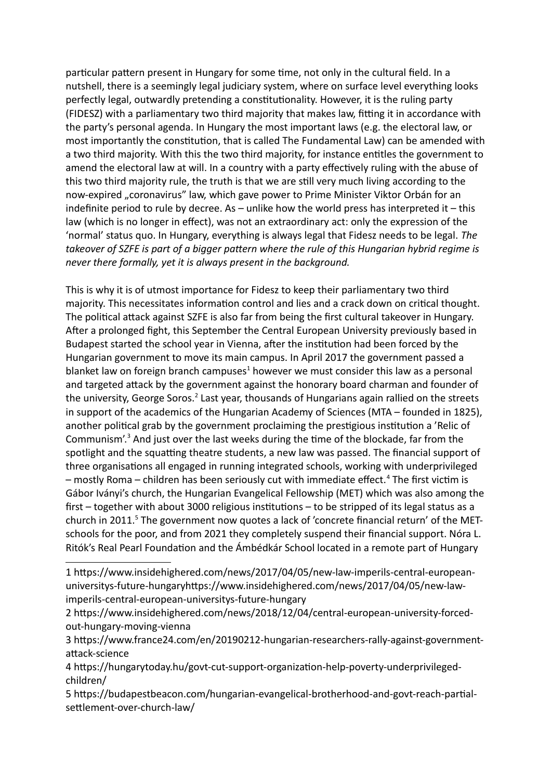partcular patern present in Hungary for some tme, not only in the cultural feld. In a nutshell, there is a seemingly legal judiciary system, where on surface level everything looks perfectly legal, outwardly pretending a constitutionality. However, it is the ruling party (FIDESZ) with a parliamentary two third majority that makes law, fitting it in accordance with the party's personal agenda. In Hungary the most important laws (e.g. the electoral law, or most importantly the consttuton, that is called The Fundamental Law) can be amended with a two third majority. With this the two third majority, for instance enttles the government to amend the electoral law at will. In a country with a party effectively ruling with the abuse of this two third majority rule, the truth is that we are stll very much living according to the now-expired "coronavirus" law, which gave power to Prime Minister Viktor Orbán for an indefinite period to rule by decree. As  $-$  unlike how the world press has interpreted it  $-$  this law (which is no longer in efect), was not an extraordinary act: only the expression of the 'normal' status quo. In Hungary, everything is always legal that Fidesz needs to be legal. *The takeover of SZFE is part of a bigger patern where the rule of this Hungarian hybrid regime is never there formally, yet it is always present in the background.*

This is why it is of utmost importance for Fidesz to keep their parliamentary two third majority. This necessitates information control and lies and a crack down on critical thought. The political attack against SZFE is also far from being the first cultural takeover in Hungary. Afer a prolonged fght, this September the Central European University previously based in Budapest started the school year in Vienna, after the institution had been forced by the Hungarian government to move its main campus. In April 2017 the government passed a blanket law on foreign branch campuses<sup>[1](#page-1-0)</sup> however we must consider this law as a personal and targeted attack by the government against the honorary board charman and founder of the university, George Soros.<sup>[2](#page-1-1)</sup> Last year, thousands of Hungarians again rallied on the streets in support of the academics of the Hungarian Academy of Sciences (MTA – founded in 1825), another political grab by the government proclaiming the prestigious institution a 'Relic of Communism'. $3$  And just over the last weeks during the time of the blockade, far from the spotlight and the squatting theatre students, a new law was passed. The financial support of three organisatons all engaged in running integrated schools, working with underprivileged  $-$  mostly Roma  $-$  children has been seriously cut with immediate effect.<sup>[4](#page-1-3)</sup> The first victim is Gábor Iványi's church, the Hungarian Evangelical Fellowship (MET) which was also among the first – together with about 3000 religious institutions – to be stripped of its legal status as a church in 2011.<sup>[5](#page-1-4)</sup> The government now quotes a lack of 'concrete financial return' of the METschools for the poor, and from 2021 they completely suspend their fnancial support. Nóra L. Ritók's Real Pearl Foundation and the Ámbédkár School located in a remote part of Hungary

<span id="page-1-0"></span><sup>1&</sup>lt;sup>th</sup>ttps://www.insidehighered.com/news/2017/04/05/new-law-imperils-central-europeanuniversitys-future-hungaryhtps://www.insidehighered.com/news/2017/04/05/new-lawimperils-central-european-universitys-future-hungary

<span id="page-1-1"></span><sup>2&</sup>lt;sup>m</sup>ttps://www.insidehighered.com/news/2018/12/04/central-european-university-forcedout-hungary-moving-vienna

<span id="page-1-2"></span><sup>3&</sup>lt;sup>m</sup>https://www.france24.com/en/20190212-hungarian-researchers-rally-against-governmentattack-science

<span id="page-1-3"></span><sup>4&</sup>lt;sup>n</sup>https://hungarytoday.hu/govt-cut-support-organization-help-poverty-underprivilegedchildren/

<span id="page-1-4"></span><sup>5&</sup>lt;sup>m</sup>ttps://budapestbeacon.com/hungarian-evangelical-brotherhood-and-govt-reach-partialsetlement-over-church-law/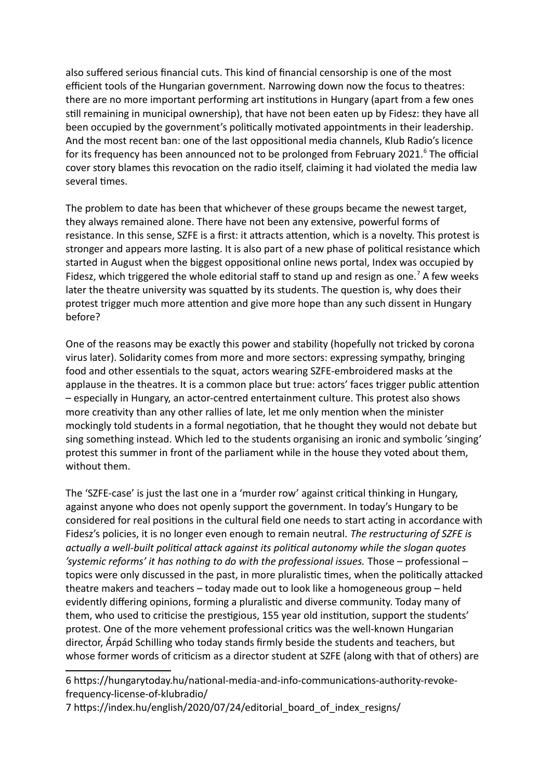also sufered serious fnancial cuts. This kind of fnancial censorship is one of the most efficient tools of the Hungarian government. Narrowing down now the focus to theatres: there are no more important performing art insttutons in Hungary (apart from a few ones stll remaining in municipal ownership), that have not been eaten up by Fidesz: they have all been occupied by the government's politically motivated appointments in their leadership. And the most recent ban: one of the last oppositonal media channels, Klub Radio's licence for its frequency has been announced not to be prolonged from February 2021.<sup>[6](#page-2-0)</sup> The official cover story blames this revocation on the radio itself, claiming it had violated the media law several times.

The problem to date has been that whichever of these groups became the newest target, they always remained alone. There have not been any extensive, powerful forms of resistance. In this sense, SZFE is a first: it attracts attention, which is a novelty. This protest is stronger and appears more lasting. It is also part of a new phase of political resistance which started in August when the biggest oppositonal online news portal, Index was occupied by Fidesz, which triggered the whole editorial staff to stand up and resign as one.<sup>[7](#page-2-1)</sup> A few weeks later the theatre university was squatted by its students. The question is, why does their protest trigger much more attention and give more hope than any such dissent in Hungary before?

One of the reasons may be exactly this power and stability (hopefully not tricked by corona virus later). Solidarity comes from more and more sectors: expressing sympathy, bringing food and other essentals to the squat, actors wearing SZFE-embroidered masks at the applause in the theatres. It is a common place but true: actors' faces trigger public atenton – especially in Hungary, an actor-centred entertainment culture. This protest also shows more creativity than any other rallies of late, let me only mention when the minister mockingly told students in a formal negotaton, that he thought they would not debate but sing something instead. Which led to the students organising an ironic and symbolic 'singing' protest this summer in front of the parliament while in the house they voted about them, without them.

The 'SZFE-case' is just the last one in a 'murder row' against critcal thinking in Hungary, against anyone who does not openly support the government. In today's Hungary to be considered for real positions in the cultural field one needs to start acting in accordance with Fidesz's policies, it is no longer even enough to remain neutral. *The restructuring of SZFE is actually a well-built politcal atack against its politcal autonomy while the slogan quotes 'systemic reforms' it has nothing to do with the professional issues.* Those – professional – topics were only discussed in the past, in more pluralistic times, when the politically attacked theatre makers and teachers – today made out to look like a homogeneous group – held evidently differing opinions, forming a pluralistic and diverse community. Today many of them, who used to critcise the prestgious, 155 year old insttuton, support the students' protest. One of the more vehement professional critcs was the well-known Hungarian director, Árpád Schilling who today stands frmly beside the students and teachers, but whose former words of criticism as a director student at SZFE (along with that of others) are

<span id="page-2-0"></span>6<sup>®</sup>https://hungarytoday.hu/national-media-and-info-communications-authority-revokefrequency-license-of-klubradio/

<span id="page-2-1"></span>7<sup>n</sup>https://index.hu/english/2020/07/24/editorial\_board\_of\_index\_resigns/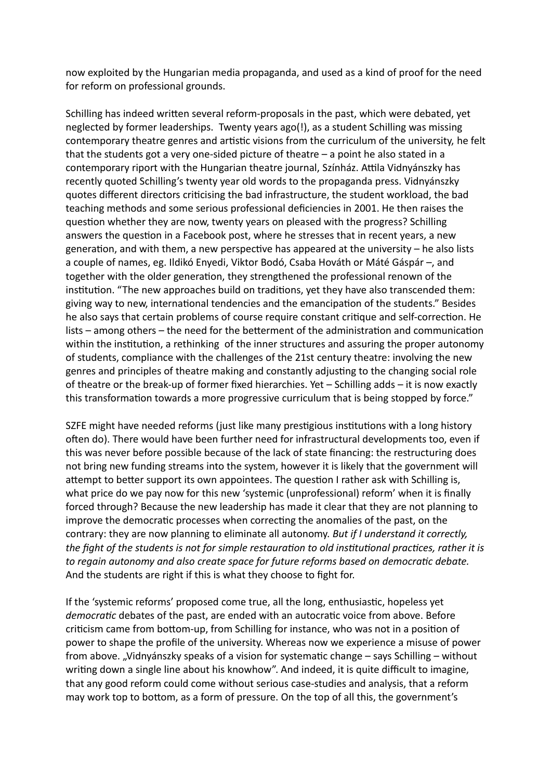now exploited by the Hungarian media propaganda, and used as a kind of proof for the need for reform on professional grounds.

Schilling has indeed writen several reform-proposals in the past, which were debated, yet neglected by former leaderships. Twenty years ago(!), as a student Schilling was missing contemporary theatre genres and artistic visions from the curriculum of the university, he felt that the students got a very one-sided picture of theatre – a point he also stated in a contemporary riport with the Hungarian theatre journal, Színház. Attila Vidnyánszky has recently quoted Schilling's twenty year old words to the propaganda press. Vidnyánszky quotes diferent directors critcising the bad infrastructure, the student workload, the bad teaching methods and some serious professional deficiencies in 2001. He then raises the question whether they are now, twenty years on pleased with the progress? Schilling answers the question in a Facebook post, where he stresses that in recent years, a new generation, and with them, a new perspective has appeared at the university  $-$  he also lists a couple of names, eg. Ildikó Enyedi, Viktor Bodó, Csaba Hováth or Máté Gáspár –, and together with the older generaton, they strengthened the professional renown of the institution. "The new approaches build on traditions, yet they have also transcended them: giving way to new, internatonal tendencies and the emancipaton of the students." Besides he also says that certain problems of course require constant critque and self-correcton. He lists – among others – the need for the betterment of the administration and communication within the institution, a rethinking of the inner structures and assuring the proper autonomy of students, compliance with the challenges of the 21st century theatre: involving the new genres and principles of theatre making and constantly adjusting to the changing social role of theatre or the break-up of former fxed hierarchies. Yet – Schilling adds – it is now exactly this transformation towards a more progressive curriculum that is being stopped by force."

SZFE might have needed reforms (just like many prestigious institutions with a long history often do). There would have been further need for infrastructural developments too, even if this was never before possible because of the lack of state fnancing: the restructuring does not bring new funding streams into the system, however it is likely that the government will attempt to better support its own appointees. The question I rather ask with Schilling is, what price do we pay now for this new 'systemic (unprofessional) reform' when it is finally forced through? Because the new leadership has made it clear that they are not planning to improve the democratic processes when correcting the anomalies of the past, on the contrary: they are now planning to eliminate all autonomy. *But if I understand it correctly, the fght of the students is not for simple restauraton to old insttutonal practces, rather it is* to regain autonomy and also create space for future reforms based on democratic debate. And the students are right if this is what they choose to fght for.

If the 'systemic reforms' proposed come true, all the long, enthusiastic, hopeless yet *democratic* debates of the past, are ended with an autocratic voice from above. Before critcism came from botom-up, from Schilling for instance, who was not in a positon of power to shape the profle of the university. Whereas now we experience a misuse of power from above. "Vidnyánszky speaks of a vision for systematic change – says Schilling – without writing down a single line about his knowhow". And indeed, it is quite difficult to imagine, that any good reform could come without serious case-studies and analysis, that a reform may work top to bottom, as a form of pressure. On the top of all this, the government's